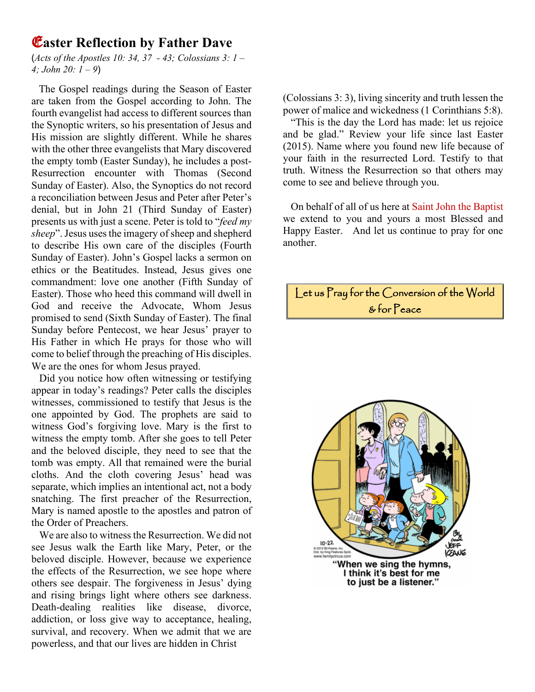## E**aster Reflection by Father Dave**

(*Acts of the Apostles 10: 34, 37 - 43; Colossians 3: 1 – 4; John 20: 1 – 9*)

 The Gospel readings during the Season of Easter are taken from the Gospel according to John. The fourth evangelist had access to different sources than the Synoptic writers, so his presentation of Jesus and His mission are slightly different. While he shares with the other three evangelists that Mary discovered the empty tomb (Easter Sunday), he includes a post-Resurrection encounter with Thomas (Second Sunday of Easter). Also, the Synoptics do not record a reconciliation between Jesus and Peter after Peter's denial, but in John 21 (Third Sunday of Easter) presents us with just a scene. Peter is told to "*feed my sheep*". Jesus uses the imagery of sheep and shepherd to describe His own care of the disciples (Fourth Sunday of Easter). John's Gospel lacks a sermon on ethics or the Beatitudes. Instead, Jesus gives one commandment: love one another (Fifth Sunday of Easter). Those who heed this command will dwell in God and receive the Advocate, Whom Jesus promised to send (Sixth Sunday of Easter). The final Sunday before Pentecost, we hear Jesus' prayer to His Father in which He prays for those who will come to belief through the preaching of His disciples. We are the ones for whom Jesus prayed.

 Did you notice how often witnessing or testifying appear in today's readings? Peter calls the disciples witnesses, commissioned to testify that Jesus is the one appointed by God. The prophets are said to witness God's forgiving love. Mary is the first to witness the empty tomb. After she goes to tell Peter and the beloved disciple, they need to see that the tomb was empty. All that remained were the burial cloths. And the cloth covering Jesus' head was separate, which implies an intentional act, not a body snatching. The first preacher of the Resurrection, Mary is named apostle to the apostles and patron of the Order of Preachers.

 We are also to witness the Resurrection. We did not see Jesus walk the Earth like Mary, Peter, or the beloved disciple. However, because we experience the effects of the Resurrection, we see hope where others see despair. The forgiveness in Jesus' dying and rising brings light where others see darkness. Death-dealing realities like disease, divorce, addiction, or loss give way to acceptance, healing, survival, and recovery. When we admit that we are powerless, and that our lives are hidden in Christ

(Colossians 3: 3), living sincerity and truth lessen the power of malice and wickedness (1 Corinthians 5:8).

 "This is the day the Lord has made: let us rejoice and be glad." Review your life since last Easter (2015). Name where you found new life because of your faith in the resurrected Lord. Testify to that truth. Witness the Resurrection so that others may come to see and believe through you.

 On behalf of all of us here at Saint John the Baptist we extend to you and yours a most Blessed and Happy Easter. And let us continue to pray for one another.

# Let us Pray for the Conversion of the World & for Peace



"When we sing the hymns, I think it's best for me to just be a listener."